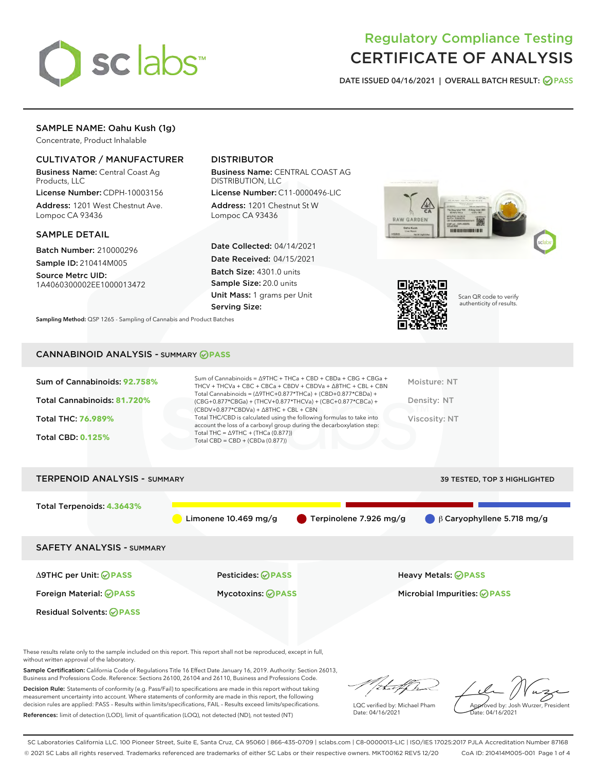

## Regulatory Compliance Testing CERTIFICATE OF ANALYSIS

DATE ISSUED 04/16/2021 | OVERALL BATCH RESULT: @ PASS

## SAMPLE NAME: Oahu Kush (1g)

Concentrate, Product Inhalable

## CULTIVATOR / MANUFACTURER

Business Name: Central Coast Ag Products, LLC

License Number: CDPH-10003156 Address: 1201 West Chestnut Ave. Lompoc CA 93436

#### SAMPLE DETAIL

Batch Number: 210000296 Sample ID: 210414M005

Source Metrc UID: 1A4060300002EE1000013472

## DISTRIBUTOR

Business Name: CENTRAL COAST AG DISTRIBUTION, LLC

License Number: C11-0000496-LIC Address: 1201 Chestnut St W Lompoc CA 93436

Date Collected: 04/14/2021 Date Received: 04/15/2021 Batch Size: 4301.0 units Sample Size: 20.0 units Unit Mass: 1 grams per Unit Serving Size:





Scan QR code to verify authenticity of results.

Sampling Method: QSP 1265 - Sampling of Cannabis and Product Batches

#### CANNABINOID ANALYSIS - SUMMARY **PASS**

| Sum of Cannabinoids: 92.758% | Sum of Cannabinoids = $\triangle$ 9THC + THCa + CBD + CBDa + CBG + CBGa +<br>THCV + THCVa + CBC + CBCa + CBDV + CBDVa + $\Delta$ 8THC + CBL + CBN                                    | Moisture: NT  |
|------------------------------|--------------------------------------------------------------------------------------------------------------------------------------------------------------------------------------|---------------|
| Total Cannabinoids: 81.720%  | Total Cannabinoids = $(\Delta$ 9THC+0.877*THCa) + (CBD+0.877*CBDa) +<br>(CBG+0.877*CBGa) + (THCV+0.877*THCVa) + (CBC+0.877*CBCa) +<br>$(CBDV+0.877*CBDVa) + \Delta 8THC + CBL + CBN$ | Density: NT   |
| <b>Total THC: 76.989%</b>    | Total THC/CBD is calculated using the following formulas to take into<br>account the loss of a carboxyl group during the decarboxylation step:                                       | Viscosity: NT |
| <b>Total CBD: 0.125%</b>     | Total THC = $\triangle$ 9THC + (THCa (0.877))<br>Total CBD = $CBD + (CBDa (0.877))$                                                                                                  |               |
|                              |                                                                                                                                                                                      |               |

# TERPENOID ANALYSIS - SUMMARY 39 TESTED, TOP 3 HIGHLIGHTED Total Terpenoids: **4.3643%** Limonene 10.469 mg/g Terpinolene 7.926 mg/g β Caryophyllene 5.718 mg/g SAFETY ANALYSIS - SUMMARY Δ9THC per Unit: **PASS** Pesticides: **PASS** Heavy Metals: **PASS** Foreign Material: **PASS** Mycotoxins: **PASS** Microbial Impurities: **PASS** Residual Solvents: **PASS**

These results relate only to the sample included on this report. This report shall not be reproduced, except in full, without written approval of the laboratory.

Sample Certification: California Code of Regulations Title 16 Effect Date January 16, 2019. Authority: Section 26013, Business and Professions Code. Reference: Sections 26100, 26104 and 26110, Business and Professions Code.

Decision Rule: Statements of conformity (e.g. Pass/Fail) to specifications are made in this report without taking measurement uncertainty into account. Where statements of conformity are made in this report, the following decision rules are applied: PASS – Results within limits/specifications, FAIL – Results exceed limits/specifications. References: limit of detection (LOD), limit of quantification (LOQ), not detected (ND), not tested (NT)

:t.aff h

LQC verified by: Michael Pham Date: 04/16/2021

Approved by: Josh Wurzer, President

ate: 04/16/2021

SC Laboratories California LLC. 100 Pioneer Street, Suite E, Santa Cruz, CA 95060 | 866-435-0709 | sclabs.com | C8-0000013-LIC | ISO/IES 17025:2017 PJLA Accreditation Number 87168 © 2021 SC Labs all rights reserved. Trademarks referenced are trademarks of either SC Labs or their respective owners. MKT00162 REV5 12/20 CoA ID: 210414M005-001 Page 1 of 4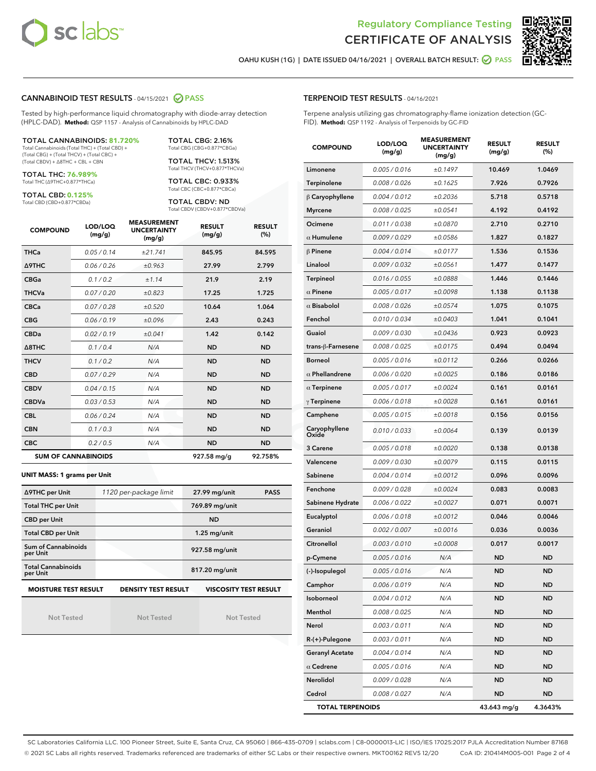



OAHU KUSH (1G) | DATE ISSUED 04/16/2021 | OVERALL BATCH RESULT: @ PASS

#### CANNABINOID TEST RESULTS - 04/15/2021 2 PASS

Tested by high-performance liquid chromatography with diode-array detection (HPLC-DAD). **Method:** QSP 1157 - Analysis of Cannabinoids by HPLC-DAD

#### TOTAL CANNABINOIDS: **81.720%**

Total Cannabinoids (Total THC) + (Total CBD) + (Total CBG) + (Total THCV) + (Total CBC) + (Total CBDV) + ∆8THC + CBL + CBN

TOTAL THC: **76.989%** Total THC (∆9THC+0.877\*THCa)

TOTAL CBD: **0.125%**

Total CBD (CBD+0.877\*CBDa)

TOTAL CBG: 2.16% Total CBG (CBG+0.877\*CBGa)

TOTAL THCV: 1.513% Total THCV (THCV+0.877\*THCVa)

TOTAL CBC: 0.933% Total CBC (CBC+0.877\*CBCa)

TOTAL CBDV: ND Total CBDV (CBDV+0.877\*CBDVa)

| <b>COMPOUND</b> | LOD/LOQ<br>(mg/g)          | <b>MEASUREMENT</b><br><b>UNCERTAINTY</b><br>(mg/g) | <b>RESULT</b><br>(mg/g) | <b>RESULT</b><br>(%) |
|-----------------|----------------------------|----------------------------------------------------|-------------------------|----------------------|
| <b>THCa</b>     | 0.05 / 0.14                | ±21.741                                            | 845.95                  | 84.595               |
| <b>A9THC</b>    | 0.06 / 0.26                | ±0.963                                             | 27.99                   | 2.799                |
| <b>CBGa</b>     | 0.1 / 0.2                  | ±1.14                                              | 21.9                    | 2.19                 |
| <b>THCVa</b>    | 0.07 / 0.20                | ±0.823                                             | 17.25                   | 1.725                |
| <b>CBCa</b>     | 0.07 / 0.28                | ±0.520                                             | 10.64                   | 1.064                |
| <b>CBG</b>      | 0.06/0.19                  | ±0.096                                             | 2.43                    | 0.243                |
| <b>CBDa</b>     | 0.02/0.19                  | ±0.041                                             | 1.42                    | 0.142                |
| A8THC           | 0.1/0.4                    | N/A                                                | <b>ND</b>               | <b>ND</b>            |
| <b>THCV</b>     | 0.1/0.2                    | N/A                                                | <b>ND</b>               | <b>ND</b>            |
| <b>CBD</b>      | 0.07/0.29                  | N/A                                                | <b>ND</b>               | <b>ND</b>            |
| <b>CBDV</b>     | 0.04 / 0.15                | N/A                                                | <b>ND</b>               | <b>ND</b>            |
| <b>CBDVa</b>    | 0.03/0.53                  | N/A                                                | <b>ND</b>               | <b>ND</b>            |
| <b>CBL</b>      | 0.06 / 0.24                | N/A                                                | <b>ND</b>               | <b>ND</b>            |
| <b>CBN</b>      | 0.1/0.3                    | N/A                                                | <b>ND</b>               | <b>ND</b>            |
| <b>CBC</b>      | 0.2 / 0.5                  | N/A                                                | <b>ND</b>               | <b>ND</b>            |
|                 | <b>SUM OF CANNABINOIDS</b> |                                                    | 927.58 mg/g             | 92.758%              |

#### **UNIT MASS: 1 grams per Unit**

| ∆9THC per Unit                        | 1120 per-package limit     | 27.99 mg/unit<br><b>PASS</b> |  |
|---------------------------------------|----------------------------|------------------------------|--|
| <b>Total THC per Unit</b>             |                            | 769.89 mg/unit               |  |
| <b>CBD per Unit</b>                   |                            | <b>ND</b>                    |  |
| <b>Total CBD per Unit</b>             |                            | $1.25$ mg/unit               |  |
| Sum of Cannabinoids<br>per Unit       |                            | 927.58 mg/unit               |  |
| <b>Total Cannabinoids</b><br>per Unit |                            | 817.20 mg/unit               |  |
| <b>MOISTURE TEST RESULT</b>           | <b>DENSITY TEST RESULT</b> | <b>VISCOSITY TEST RESULT</b> |  |

## **MOISTURE TEST RESULT**

Not Tested

Not Tested

Not Tested

#### TERPENOID TEST RESULTS - 04/16/2021

Terpene analysis utilizing gas chromatography-flame ionization detection (GC-FID). **Method:** QSP 1192 - Analysis of Terpenoids by GC-FID

| <b>COMPOUND</b>         | LOD/LOQ<br>(mg/g) | <b>MEASUREMENT</b><br><b>UNCERTAINTY</b><br>(mg/g) | <b>RESULT</b><br>(mg/g) | <b>RESULT</b><br>(%) |
|-------------------------|-------------------|----------------------------------------------------|-------------------------|----------------------|
| Limonene                | 0.005 / 0.016     | ±0.1497                                            | 10.469                  | 1.0469               |
| Terpinolene             | 0.008 / 0.026     | ±0.1625                                            | 7.926                   | 0.7926               |
| $\beta$ Caryophyllene   | 0.004 / 0.012     | ±0.2036                                            | 5.718                   | 0.5718               |
| <b>Myrcene</b>          | 0.008 / 0.025     | ±0.0541                                            | 4.192                   | 0.4192               |
| Ocimene                 | 0.011 / 0.038     | ±0.0870                                            | 2.710                   | 0.2710               |
| $\alpha$ Humulene       | 0.009 / 0.029     | ±0.0586                                            | 1.827                   | 0.1827               |
| $\beta$ Pinene          | 0.004 / 0.014     | ±0.0177                                            | 1.536                   | 0.1536               |
| Linalool                | 0.009 / 0.032     | ±0.0561                                            | 1.477                   | 0.1477               |
| Terpineol               | 0.016 / 0.055     | ±0.0888                                            | 1.446                   | 0.1446               |
| $\alpha$ Pinene         | 0.005 / 0.017     | ±0.0098                                            | 1.138                   | 0.1138               |
| $\alpha$ Bisabolol      | 0.008 / 0.026     | ±0.0574                                            | 1.075                   | 0.1075               |
| Fenchol                 | 0.010 / 0.034     | ±0.0403                                            | 1.041                   | 0.1041               |
| Guaiol                  | 0.009 / 0.030     | ±0.0436                                            | 0.923                   | 0.0923               |
| trans-ß-Farnesene       | 0.008 / 0.025     | ±0.0175                                            | 0.494                   | 0.0494               |
| <b>Borneol</b>          | 0.005 / 0.016     | ±0.0112                                            | 0.266                   | 0.0266               |
| $\alpha$ Phellandrene   | 0.006 / 0.020     | ±0.0025                                            | 0.186                   | 0.0186               |
| $\alpha$ Terpinene      | 0.005 / 0.017     | ±0.0024                                            | 0.161                   | 0.0161               |
| $\gamma$ Terpinene      | 0.006 / 0.018     | ±0.0028                                            | 0.161                   | 0.0161               |
| Camphene                | 0.005 / 0.015     | ±0.0018                                            | 0.156                   | 0.0156               |
| Caryophyllene<br>Oxide  | 0.010 / 0.033     | ±0.0064                                            | 0.139                   | 0.0139               |
| 3 Carene                | 0.005 / 0.018     | ±0.0020                                            | 0.138                   | 0.0138               |
| Valencene               | 0.009 / 0.030     | ±0.0079                                            | 0.115                   | 0.0115               |
| Sabinene                | 0.004 / 0.014     | ±0.0012                                            | 0.096                   | 0.0096               |
| Fenchone                | 0.009 / 0.028     | ±0.0024                                            | 0.083                   | 0.0083               |
| Sabinene Hydrate        | 0.006 / 0.022     | ±0.0027                                            | 0.071                   | 0.0071               |
| Eucalyptol              | 0.006 / 0.018     | ±0.0012                                            | 0.046                   | 0.0046               |
| Geraniol                | 0.002 / 0.007     | ±0.0016                                            | 0.036                   | 0.0036               |
| Citronellol             | 0.003 / 0.010     | ±0.0008                                            | 0.017                   | 0.0017               |
| p-Cymene                | 0.005 / 0.016     | N/A                                                | ND                      | <b>ND</b>            |
| (-)-Isopulegol          | 0.005 / 0.016     | N/A                                                | <b>ND</b>               | ND                   |
| Camphor                 | 0.006 / 0.019     | N/A                                                | ND                      | <b>ND</b>            |
| Isoborneol              | 0.004 / 0.012     | N/A                                                | ND                      | <b>ND</b>            |
| Menthol                 | 0.008 / 0.025     | N/A                                                | <b>ND</b>               | <b>ND</b>            |
| Nerol                   | 0.003 / 0.011     | N/A                                                | <b>ND</b>               | <b>ND</b>            |
| R-(+)-Pulegone          | 0.003 / 0.011     | N/A                                                | ND                      | ND                   |
| <b>Geranyl Acetate</b>  | 0.004 / 0.014     | N/A                                                | ND                      | <b>ND</b>            |
| $\alpha$ Cedrene        | 0.005 / 0.016     | N/A                                                | <b>ND</b>               | <b>ND</b>            |
| Nerolidol               | 0.009 / 0.028     | N/A                                                | ND                      | ND                   |
| Cedrol                  | 0.008 / 0.027     | N/A                                                | <b>ND</b>               | ND                   |
| <b>TOTAL TERPENOIDS</b> |                   |                                                    | 43.643 mg/g             | 4.3643%              |

SC Laboratories California LLC. 100 Pioneer Street, Suite E, Santa Cruz, CA 95060 | 866-435-0709 | sclabs.com | C8-0000013-LIC | ISO/IES 17025:2017 PJLA Accreditation Number 87168 © 2021 SC Labs all rights reserved. Trademarks referenced are trademarks of either SC Labs or their respective owners. MKT00162 REV5 12/20 CoA ID: 210414M005-001 Page 2 of 4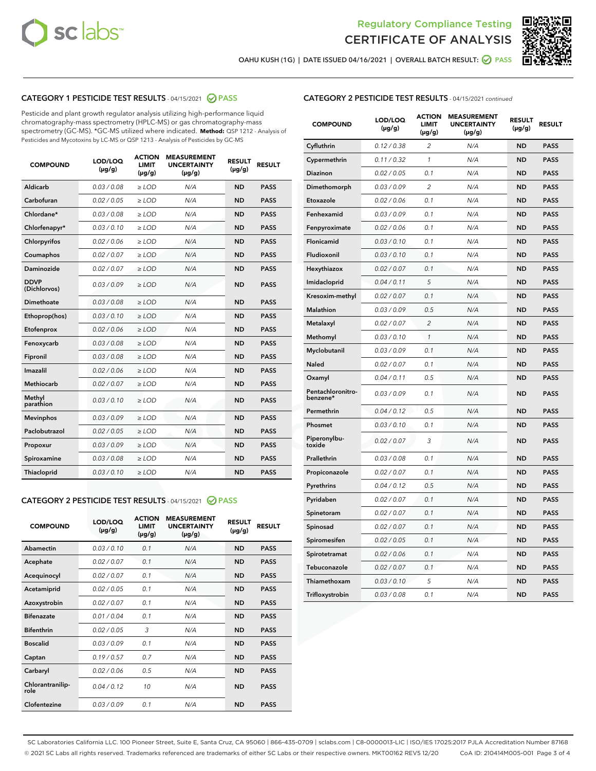



OAHU KUSH (1G) | DATE ISSUED 04/16/2021 | OVERALL BATCH RESULT:  $\bigcirc$  PASS

## CATEGORY 1 PESTICIDE TEST RESULTS - 04/15/2021 2 PASS

Pesticide and plant growth regulator analysis utilizing high-performance liquid chromatography-mass spectrometry (HPLC-MS) or gas chromatography-mass spectrometry (GC-MS). \*GC-MS utilized where indicated. **Method:** QSP 1212 - Analysis of Pesticides and Mycotoxins by LC-MS or QSP 1213 - Analysis of Pesticides by GC-MS

| <b>COMPOUND</b>             | LOD/LOQ<br>$(\mu g/g)$ | <b>ACTION</b><br><b>LIMIT</b><br>$(\mu g/g)$ | <b>MEASUREMENT</b><br><b>UNCERTAINTY</b><br>$(\mu g/g)$ | <b>RESULT</b><br>$(\mu g/g)$ | <b>RESULT</b> |
|-----------------------------|------------------------|----------------------------------------------|---------------------------------------------------------|------------------------------|---------------|
| Aldicarb                    | 0.03 / 0.08            | $\ge$ LOD                                    | N/A                                                     | <b>ND</b>                    | <b>PASS</b>   |
| Carbofuran                  | 0.02 / 0.05            | $\geq$ LOD                                   | N/A                                                     | <b>ND</b>                    | <b>PASS</b>   |
| Chlordane*                  | 0.03 / 0.08            | $\geq$ LOD                                   | N/A                                                     | <b>ND</b>                    | <b>PASS</b>   |
| Chlorfenapyr*               | 0.03/0.10              | $\geq$ LOD                                   | N/A                                                     | <b>ND</b>                    | <b>PASS</b>   |
| Chlorpyrifos                | 0.02 / 0.06            | $\ge$ LOD                                    | N/A                                                     | <b>ND</b>                    | <b>PASS</b>   |
| Coumaphos                   | 0.02 / 0.07            | $\ge$ LOD                                    | N/A                                                     | <b>ND</b>                    | <b>PASS</b>   |
| Daminozide                  | 0.02 / 0.07            | $\ge$ LOD                                    | N/A                                                     | <b>ND</b>                    | <b>PASS</b>   |
| <b>DDVP</b><br>(Dichlorvos) | 0.03/0.09              | $\ge$ LOD                                    | N/A                                                     | <b>ND</b>                    | <b>PASS</b>   |
| Dimethoate                  | 0.03 / 0.08            | $\ge$ LOD                                    | N/A                                                     | <b>ND</b>                    | <b>PASS</b>   |
| Ethoprop(hos)               | 0.03/0.10              | $\ge$ LOD                                    | N/A                                                     | <b>ND</b>                    | <b>PASS</b>   |
| Etofenprox                  | 0.02/0.06              | $>$ LOD                                      | N/A                                                     | <b>ND</b>                    | <b>PASS</b>   |
| Fenoxycarb                  | 0.03 / 0.08            | $>$ LOD                                      | N/A                                                     | <b>ND</b>                    | <b>PASS</b>   |
| Fipronil                    | 0.03 / 0.08            | $>$ LOD                                      | N/A                                                     | <b>ND</b>                    | <b>PASS</b>   |
| Imazalil                    | 0.02 / 0.06            | $\ge$ LOD                                    | N/A                                                     | <b>ND</b>                    | <b>PASS</b>   |
| <b>Methiocarb</b>           | 0.02 / 0.07            | $\ge$ LOD                                    | N/A                                                     | <b>ND</b>                    | <b>PASS</b>   |
| Methyl<br>parathion         | 0.03/0.10              | $\ge$ LOD                                    | N/A                                                     | <b>ND</b>                    | <b>PASS</b>   |
| <b>Mevinphos</b>            | 0.03/0.09              | $\ge$ LOD                                    | N/A                                                     | <b>ND</b>                    | <b>PASS</b>   |
| Paclobutrazol               | 0.02 / 0.05            | $\ge$ LOD                                    | N/A                                                     | <b>ND</b>                    | <b>PASS</b>   |
| Propoxur                    | 0.03/0.09              | $\ge$ LOD                                    | N/A                                                     | <b>ND</b>                    | <b>PASS</b>   |
| Spiroxamine                 | 0.03 / 0.08            | $\ge$ LOD                                    | N/A                                                     | <b>ND</b>                    | <b>PASS</b>   |
| Thiacloprid                 | 0.03/0.10              | $\ge$ LOD                                    | N/A                                                     | <b>ND</b>                    | <b>PASS</b>   |

#### CATEGORY 2 PESTICIDE TEST RESULTS - 04/15/2021 @ PASS

| <b>COMPOUND</b>          | LOD/LOO<br>$(\mu g/g)$ | <b>ACTION</b><br>LIMIT<br>$(\mu g/g)$ | <b>MEASUREMENT</b><br><b>UNCERTAINTY</b><br>$(\mu g/g)$ | <b>RESULT</b><br>$(\mu g/g)$ | <b>RESULT</b> |
|--------------------------|------------------------|---------------------------------------|---------------------------------------------------------|------------------------------|---------------|
| Abamectin                | 0.03/0.10              | 0.1                                   | N/A                                                     | <b>ND</b>                    | <b>PASS</b>   |
| Acephate                 | 0.02/0.07              | 0.1                                   | N/A                                                     | <b>ND</b>                    | <b>PASS</b>   |
| Acequinocyl              | 0.02/0.07              | 0.1                                   | N/A                                                     | <b>ND</b>                    | <b>PASS</b>   |
| Acetamiprid              | 0.02/0.05              | 0.1                                   | N/A                                                     | <b>ND</b>                    | <b>PASS</b>   |
| Azoxystrobin             | 0.02/0.07              | 0.1                                   | N/A                                                     | <b>ND</b>                    | <b>PASS</b>   |
| <b>Bifenazate</b>        | 0.01/0.04              | 0.1                                   | N/A                                                     | <b>ND</b>                    | <b>PASS</b>   |
| <b>Bifenthrin</b>        | 0.02 / 0.05            | 3                                     | N/A                                                     | <b>ND</b>                    | <b>PASS</b>   |
| <b>Boscalid</b>          | 0.03/0.09              | 0.1                                   | N/A                                                     | <b>ND</b>                    | <b>PASS</b>   |
| Captan                   | 0.19/0.57              | 0.7                                   | N/A                                                     | <b>ND</b>                    | <b>PASS</b>   |
| Carbaryl                 | 0.02/0.06              | 0.5                                   | N/A                                                     | <b>ND</b>                    | <b>PASS</b>   |
| Chlorantranilip-<br>role | 0.04/0.12              | 10                                    | N/A                                                     | <b>ND</b>                    | <b>PASS</b>   |
| Clofentezine             | 0.03/0.09              | 0.1                                   | N/A                                                     | <b>ND</b>                    | <b>PASS</b>   |

#### CATEGORY 2 PESTICIDE TEST RESULTS - 04/15/2021 continued

| <b>COMPOUND</b>               | LOD/LOQ<br>(µg/g) | <b>ACTION</b><br><b>LIMIT</b><br>$(\mu g/g)$ | <b>MEASUREMENT</b><br><b>UNCERTAINTY</b><br>$(\mu g/g)$ | <b>RESULT</b><br>(µg/g) | <b>RESULT</b> |
|-------------------------------|-------------------|----------------------------------------------|---------------------------------------------------------|-------------------------|---------------|
| Cyfluthrin                    | 0.12 / 0.38       | $\overline{c}$                               | N/A                                                     | ND                      | <b>PASS</b>   |
| Cypermethrin                  | 0.11 / 0.32       | $\mathcal{I}$                                | N/A                                                     | ND                      | <b>PASS</b>   |
| <b>Diazinon</b>               | 0.02 / 0.05       | 0.1                                          | N/A                                                     | <b>ND</b>               | <b>PASS</b>   |
| Dimethomorph                  | 0.03 / 0.09       | 2                                            | N/A                                                     | ND                      | <b>PASS</b>   |
| Etoxazole                     | 0.02 / 0.06       | 0.1                                          | N/A                                                     | ND                      | <b>PASS</b>   |
| Fenhexamid                    | 0.03 / 0.09       | 0.1                                          | N/A                                                     | ND                      | <b>PASS</b>   |
| Fenpyroximate                 | 0.02 / 0.06       | 0.1                                          | N/A                                                     | <b>ND</b>               | <b>PASS</b>   |
| Flonicamid                    | 0.03 / 0.10       | 0.1                                          | N/A                                                     | ND                      | <b>PASS</b>   |
| Fludioxonil                   | 0.03 / 0.10       | 0.1                                          | N/A                                                     | ND                      | <b>PASS</b>   |
| Hexythiazox                   | 0.02 / 0.07       | 0.1                                          | N/A                                                     | ND                      | <b>PASS</b>   |
| Imidacloprid                  | 0.04 / 0.11       | 5                                            | N/A                                                     | ND                      | <b>PASS</b>   |
| Kresoxim-methyl               | 0.02 / 0.07       | 0.1                                          | N/A                                                     | ND                      | <b>PASS</b>   |
| Malathion                     | 0.03 / 0.09       | 0.5                                          | N/A                                                     | <b>ND</b>               | <b>PASS</b>   |
| Metalaxyl                     | 0.02 / 0.07       | $\overline{c}$                               | N/A                                                     | ND                      | <b>PASS</b>   |
| Methomyl                      | 0.03 / 0.10       | 1                                            | N/A                                                     | ND                      | <b>PASS</b>   |
| Myclobutanil                  | 0.03 / 0.09       | 0.1                                          | N/A                                                     | <b>ND</b>               | <b>PASS</b>   |
| Naled                         | 0.02 / 0.07       | 0.1                                          | N/A                                                     | ND                      | <b>PASS</b>   |
| Oxamyl                        | 0.04 / 0.11       | 0.5                                          | N/A                                                     | ND                      | <b>PASS</b>   |
| Pentachloronitro-<br>benzene* | 0.03 / 0.09       | 0.1                                          | N/A                                                     | ND                      | <b>PASS</b>   |
| Permethrin                    | 0.04 / 0.12       | 0.5                                          | N/A                                                     | ND                      | <b>PASS</b>   |
| Phosmet                       | 0.03 / 0.10       | 0.1                                          | N/A                                                     | ND                      | <b>PASS</b>   |
| Piperonylbu-<br>toxide        | 0.02 / 0.07       | 3                                            | N/A                                                     | ND                      | <b>PASS</b>   |
| Prallethrin                   | 0.03 / 0.08       | 0.1                                          | N/A                                                     | ND                      | <b>PASS</b>   |
| Propiconazole                 | 0.02 / 0.07       | 0.1                                          | N/A                                                     | ND                      | <b>PASS</b>   |
| Pyrethrins                    | 0.04 / 0.12       | 0.5                                          | N/A                                                     | ND                      | <b>PASS</b>   |
| Pyridaben                     | 0.02 / 0.07       | 0.1                                          | N/A                                                     | <b>ND</b>               | <b>PASS</b>   |
| Spinetoram                    | 0.02 / 0.07       | 0.1                                          | N/A                                                     | ND                      | <b>PASS</b>   |
| Spinosad                      | 0.02 / 0.07       | 0.1                                          | N/A                                                     | ND                      | <b>PASS</b>   |
| Spiromesifen                  | 0.02 / 0.05       | 0.1                                          | N/A                                                     | <b>ND</b>               | <b>PASS</b>   |
| Spirotetramat                 | 0.02 / 0.06       | 0.1                                          | N/A                                                     | ND                      | <b>PASS</b>   |
| Tebuconazole                  | 0.02 / 0.07       | 0.1                                          | N/A                                                     | ND                      | <b>PASS</b>   |
| Thiamethoxam                  | 0.03 / 0.10       | 5                                            | N/A                                                     | <b>ND</b>               | <b>PASS</b>   |
| Trifloxystrobin               | 0.03 / 0.08       | 0.1                                          | N/A                                                     | <b>ND</b>               | <b>PASS</b>   |

SC Laboratories California LLC. 100 Pioneer Street, Suite E, Santa Cruz, CA 95060 | 866-435-0709 | sclabs.com | C8-0000013-LIC | ISO/IES 17025:2017 PJLA Accreditation Number 87168 © 2021 SC Labs all rights reserved. Trademarks referenced are trademarks of either SC Labs or their respective owners. MKT00162 REV5 12/20 CoA ID: 210414M005-001 Page 3 of 4